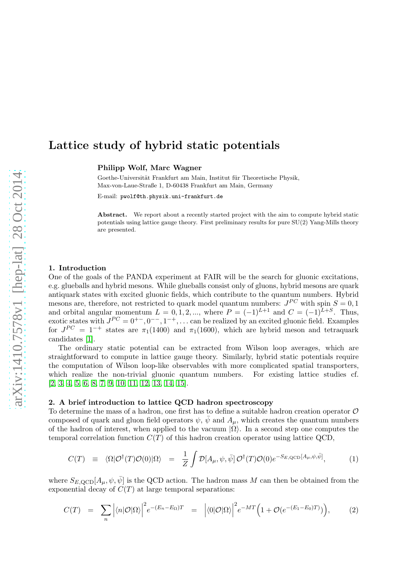# Lattice study of hybrid static potentials

Philipp Wolf, Marc Wagner

Goethe-Universität Frankfurt am Main, Institut für Theoretische Physik, Max-von-Laue-Straße 1, D-60438 Frankfurt am Main, Germany

E-mail: pwolf@th.physik.uni-frankfurt.de

Abstract. We report about a recently started project with the aim to compute hybrid static potentials using lattice gauge theory. First preliminary results for pure SU(2) Yang-Mills theory are presented.

#### 1. Introduction

One of the goals of the PANDA experiment at FAIR will be the search for gluonic excitations, e.g. glueballs and hybrid mesons. While glueballs consist only of gluons, hybrid mesons are quark antiquark states with excited gluonic fields, which contribute to the quantum numbers. Hybrid mesons are, therefore, not restricted to quark model quantum numbers:  $J^{PC}$  with spin  $S = 0, 1$ and orbital angular momentum  $L = 0, 1, 2, ...$ , where  $P = (-1)^{L+1}$  and  $C = (-1)^{L+S}$ . Thus, exotic states with  $J^{PC} = 0^{+-}, 0^{--}, 1^{-+}, \dots$  can be realized by an excited gluonic field. Examples for  $J^{PC} = 1^{-+}$  states are  $\pi_1(1400)$  and  $\pi_1(1600)$ , which are hybrid meson and tetraquark candidates [\[1\]](#page-4-0).

The ordinary static potential can be extracted from Wilson loop averages, which are straightforward to compute in lattice gauge theory. Similarly, hybrid static potentials require the computation of Wilson loop-like observables with more complicated spatial transporters, which realize the non-trivial gluonic quantum numbers. For existing lattice studies cf. [\[2,](#page-4-1) [3,](#page-4-2) [4,](#page-4-3) [5,](#page-4-4) [6,](#page-4-5) [8,](#page-4-6) [7,](#page-4-7) [9,](#page-4-8) [10,](#page-4-9) [11,](#page-4-10) [12,](#page-4-11) [13,](#page-4-12) [14,](#page-4-13) [15\]](#page-4-14).

#### 2. A brief introduction to lattice QCD hadron spectroscopy

To determine the mass of a hadron, one first has to define a suitable hadron creation operator  $\mathcal O$ composed of quark and gluon field operators  $\psi$ ,  $\psi$  and  $A_{\mu}$ , which creates the quantum numbers of the hadron of interest, when applied to the vacuum  $|\Omega\rangle$ . In a second step one computes the temporal correlation function  $C(T)$  of this hadron creation operator using lattice QCD,

<span id="page-0-0"></span>
$$
C(T) \equiv \langle \Omega | \mathcal{O}^{\dagger}(T) \mathcal{O}(0) | \Omega \rangle = \frac{1}{Z} \int \mathcal{D}[A_{\mu}, \psi, \bar{\psi}] \mathcal{O}^{\dagger}(T) \mathcal{O}(0) e^{-S_{E, \text{QCD}}[A_{\mu}, \psi, \bar{\psi}]}, \tag{1}
$$

where  $S_{E, \text{QCD}}[A_\mu, \psi, \bar{\psi}]$  is the QCD action. The hadron mass M can then be obtained from the exponential decay of  $C(T)$  at large temporal separations:

$$
C(T) = \sum_{n} \left| \langle n | \mathcal{O} | \Omega \rangle \right|^2 e^{-(E_n - E_{\Omega})T} = \left| \langle 0 | \mathcal{O} | \Omega \rangle \right|^2 e^{-MT} \left( 1 + \mathcal{O}(e^{-(E_1 - E_0)T}) \right), \tag{2}
$$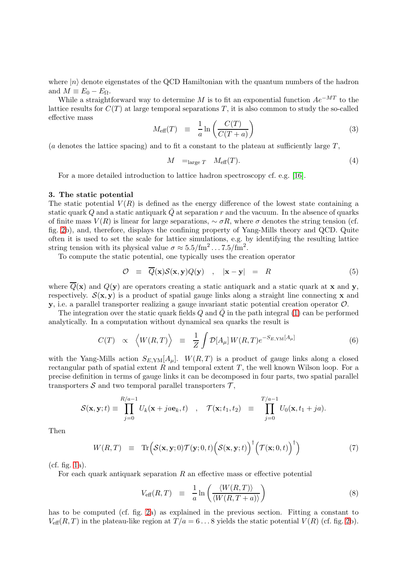where  $|n\rangle$  denote eigenstates of the QCD Hamiltonian with the quantum numbers of the hadron and  $M \equiv E_0 - E_\Omega$ .

While a straightforward way to determine M is to fit an exponential function  $Ae^{-MT}$  to the lattice results for  $C(T)$  at large temporal separations T, it is also common to study the so-called effective mass

$$
M_{\text{eff}}(T) \equiv \frac{1}{a} \ln \left( \frac{C(T)}{C(T+a)} \right) \tag{3}
$$

(a denotes the lattice spacing) and to fit a constant to the plateau at sufficiently large  $T$ ,

$$
M =_{\text{large } T} M_{\text{eff}}(T). \tag{4}
$$

For a more detailed introduction to lattice hadron spectroscopy cf. e.g. [\[16\]](#page-4-15).

#### 3. The static potential

The static potential  $V(R)$  is defined as the energy difference of the lowest state containing a static quark Q and a static antiquark  $\overline{Q}$  at separation r and the vacuum. In the absence of quarks of finite mass  $V(R)$  is linear for large separations,  $\sim \sigma R$ , where  $\sigma$  denotes the string tension (cf. fig. [2b](#page-2-0)), and, therefore, displays the confining property of Yang-Mills theory and QCD. Quite often it is used to set the scale for lattice simulations, e.g. by identifying the resulting lattice string tension with its physical value  $\sigma \approx 5.5/\text{fm}^2 \dots 7.5/\text{fm}^2$ .

To compute the static potential, one typically uses the creation operator

<span id="page-1-0"></span>
$$
\mathcal{O} \equiv \overline{Q}(\mathbf{x})\mathcal{S}(\mathbf{x}, \mathbf{y})Q(\mathbf{y}) \quad , \quad |\mathbf{x} - \mathbf{y}| = R \tag{5}
$$

where  $\overline{Q}(\mathbf{x})$  and  $Q(\mathbf{y})$  are operators creating a static antiquark and a static quark at **x** and **y**, respectively.  $S(\mathbf{x}, \mathbf{y})$  is a product of spatial gauge links along a straight line connecting **x** and  $\mathbf{y}$ , i.e. a parallel transporter realizing a gauge invariant static potential creation operator  $\mathcal{O}$ .

The integration over the static quark fields Q and Q in the path integral [\(1\)](#page-0-0) can be performed analytically. In a computation without dynamical sea quarks the result is

$$
C(T) \propto \left\langle W(R,T) \right\rangle \equiv \frac{1}{Z} \int \mathcal{D}[A_{\mu}] W(R,T) e^{-S_{E,\text{YM}}[A_{\mu}]} \tag{6}
$$

with the Yang-Mills action  $S_{E, \text{YM}}[A_\mu]$ .  $W(R, T)$  is a product of gauge links along a closed rectangular path of spatial extent  $R$  and temporal extent  $T$ , the well known Wilson loop. For a precise definition in terms of gauge links it can be decomposed in four parts, two spatial parallel transporters  $S$  and two temporal parallel transporters  $\mathcal{T}$ ,

$$
\mathcal{S}(\mathbf{x}, \mathbf{y}; t) \equiv \prod_{j=0}^{R/a-1} U_k(\mathbf{x} + ja\mathbf{e}_k, t) \quad , \quad \mathcal{T}(\mathbf{x}; t_1, t_2) \equiv \prod_{j=0}^{T/a-1} U_0(\mathbf{x}, t_1 + ja).
$$

Then

$$
W(R,T) \equiv \text{Tr}\Big(\mathcal{S}(\mathbf{x}, \mathbf{y}; 0) \mathcal{T}(\mathbf{y}; 0, t) \Big(\mathcal{S}(\mathbf{x}, \mathbf{y}; t)\Big)^{\dagger} \Big(\mathcal{T}(\mathbf{x}; 0, t)\Big)^{\dagger}\Big) \tag{7}
$$

(cf. fig. [1a](#page-2-1)).

For each quark antiquark separation  $R$  an effective mass or effective potential

$$
V_{\text{eff}}(R,T) \equiv \frac{1}{a} \ln \left( \frac{\langle W(R,T) \rangle}{\langle W(R,T+a) \rangle} \right) \tag{8}
$$

has to be computed (cf. fig. [2a](#page-2-0)) as explained in the previous section. Fitting a constant to  $V_{\text{eff}}(R, T)$  in the plateau-like region at  $T/a = 6...8$  yields the static potential  $V(R)$  (cf. fig. [2b](#page-2-0)).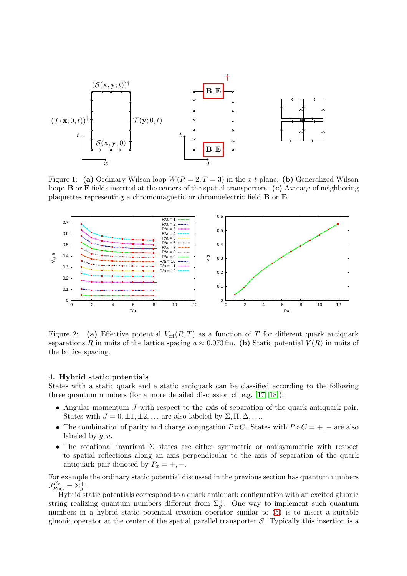<span id="page-2-1"></span>

Figure 1: (a) Ordinary Wilson loop  $W(R = 2, T = 3)$  in the x-t plane. (b) Generalized Wilson loop: B or E fields inserted at the centers of the spatial transporters. (c) Average of neighboring plaquettes representing a chromomagnetic or chromoelectric field B or E.

<span id="page-2-0"></span>

Figure 2: (a) Effective potential  $V_{\text{eff}}(R,T)$  as a function of T for different quark antiquark separations R in units of the lattice spacing  $a \approx 0.073$  fm. (b) Static potential  $V(R)$  in units of the lattice spacing.

## 4. Hybrid static potentials

States with a static quark and a static antiquark can be classified according to the following three quantum numbers (for a more detailed discussion cf. e.g. [\[17,](#page-4-16) [18\]](#page-4-17)):

- Angular momentum J with respect to the axis of separation of the quark antiquark pair. States with  $J = 0, \pm 1, \pm 2, \ldots$  are also labeled by  $\Sigma, \Pi, \Delta, \ldots$ .
- The combination of parity and charge conjugation  $P \circ C$ . States with  $P \circ C = +, -$  are also labeled by  $g, u$ .
- The rotational invariant  $\Sigma$  states are either symmetric or antisymmetric with respect to spatial reflections along an axis perpendicular to the axis of separation of the quark antiquark pair denoted by  $P_x = +, -$ .

For example the ordinary static potential discussed in the previous section has quantum numbers  $J_{P\circ C}^{P_x} = \Sigma_g^+$ .

Hybrid static potentials correspond to a quark antiquark configuration with an excited gluonic string realizing quantum numbers different from  $\Sigma_g^+$ . One way to implement such quantum numbers in a hybrid static potential creation operator similar to [\(5\)](#page-1-0) is to insert a suitable gluonic operator at the center of the spatial parallel transporter  $S$ . Typically this insertion is a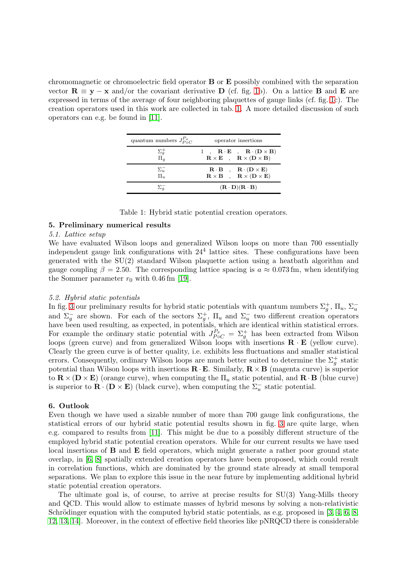<span id="page-3-0"></span>chromomagnetic or chromoelectric field operator  $\bf{B}$  or  $\bf{E}$  possibly combined with the separation vector  $\mathbf{R} \equiv \mathbf{y} - \mathbf{x}$  and/or the covariant derivative D (cf. fig. [1b](#page-2-1)). On a lattice B and E are expressed in terms of the average of four neighboring plaquettes of gauge links (cf. fig. [1c](#page-2-1)). The creation operators used in this work are collected in tab. [1.](#page-3-0) A more detailed discussion of such operators can e.g. be found in [\[11\]](#page-4-10).

| quantum numbers $J_{P \circ C}^{P_x}$ | operator insertions                                                                                                                                                         |  |  |  |
|---------------------------------------|-----------------------------------------------------------------------------------------------------------------------------------------------------------------------------|--|--|--|
| $\Sigma_g^+$<br>$\Pi_g$               | 1, $\mathbf{R} \cdot \mathbf{E}$ , $\mathbf{R} \cdot (\mathbf{D} \times \mathbf{B})$<br>$\mathbf{R} \times \mathbf{E}$ , $\mathbf{R} \times (\mathbf{D} \times \mathbf{B})$ |  |  |  |
| $\Sigma_u^-$<br>$\Pi_u$               | $\mathbf{R} \cdot \mathbf{B}$ , $\mathbf{R} \cdot (\mathbf{D} \times \mathbf{E})$<br>$\mathbf{R} \times \mathbf{B}$ , $\mathbf{R} \times (\mathbf{D} \times \mathbf{E})$    |  |  |  |
| $\Sigma_q^-$                          | $(\mathbf{R} \cdot \mathbf{D})(\mathbf{R} \cdot \mathbf{B})$                                                                                                                |  |  |  |

|  |  |  |  |  | Table 1: Hybrid static potential creation operators. |
|--|--|--|--|--|------------------------------------------------------|
|--|--|--|--|--|------------------------------------------------------|

## 5. Preliminary numerical results

### 5.1. Lattice setup

We have evaluated Wilson loops and generalized Wilson loops on more than 700 essentially independent gauge link configurations with 24<sup>4</sup> lattice sites. These configurations have been generated with the SU(2) standard Wilson plaquette action using a heatbath algorithm and gauge coupling  $\beta = 2.50$ . The corresponding lattice spacing is  $a \approx 0.073$  fm, when identifying the Sommer parameter  $r_0$  with 0.46 fm [\[19\]](#page-4-18).

#### 5.2. Hybrid static potentials

In fig. [3](#page-4-19) our preliminary results for hybrid static potentials with quantum numbers  $\Sigma_g^+$ ,  $\Pi_u$ ,  $\Sigma_u^$ and  $\Sigma_g^-$  are shown. For each of the sectors  $\Sigma_g^+$ ,  $\Pi_u$  and  $\Sigma_u^-$  two different creation operators have been used resulting, as expected, in potentials, which are identical within statistical errors. For example the ordinary static potential with  $J_{P\circ C}^{P_x} = \Sigma_g^+$  has been extracted from Wilson loops (green curve) and from generalized Wilson loops with insertions  $\mathbf{R} \cdot \mathbf{E}$  (yellow curve). Clearly the green curve is of better quality, i.e. exhibits less fluctuations and smaller statistical errors. Consequently, ordinary Wilson loops are much better suited to determine the  $\Sigma_g^+$  static potential than Wilson loops with insertions  $\mathbf{R} \cdot \mathbf{E}$ . Similarly,  $\mathbf{R} \times \mathbf{B}$  (magenta curve) is superior to  $\mathbf{R} \times (\mathbf{D} \times \mathbf{E})$  (orange curve), when computing the  $\Pi_u$  static potential, and  $\mathbf{R} \cdot \mathbf{B}$  (blue curve) is superior to  $\mathbf{R} \cdot (\mathbf{D} \times \mathbf{E})$  (black curve), when computing the  $\Sigma_u^-$  static potential.

## 6. Outlook

Even though we have used a sizable number of more than 700 gauge link configurations, the statistical errors of our hybrid static potential results shown in fig. [3](#page-4-19) are quite large, when e.g. compared to results from [\[11\]](#page-4-10). This might be due to a possibly different structure of the employed hybrid static potential creation operators. While for our current results we have used local insertions of B and E field operators, which might generate a rather poor ground state overlap, in [\[6,](#page-4-5) [8\]](#page-4-6) spatially extended creation operators have been proposed, which could result in correlation functions, which are dominated by the ground state already at small temporal separations. We plan to explore this issue in the near future by implementing additional hybrid static potential creation operators.

The ultimate goal is, of course, to arrive at precise results for SU(3) Yang-Mills theory and QCD. This would allow to estimate masses of hybrid mesons by solving a non-relativistic Schrödinger equation with the computed hybrid static potentials, as e.g. proposed in  $[3, 4, 6, 8,$  $[3, 4, 6, 8,$  $[3, 4, 6, 8,$  $[3, 4, 6, 8,$ [12,](#page-4-11) [13,](#page-4-12) [14\]](#page-4-13). Moreover, in the context of effective field theories like pNRQCD there is considerable